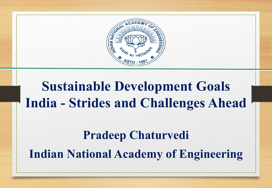

# **Sustainable Development Goals India - Strides and Challenges Ahead**

## **Pradeep Chaturvedi Indian National Academy of Engineering**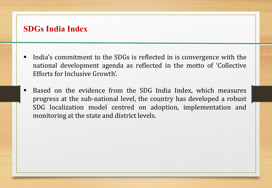#### **SDGs India Index**

- India's commitment to the SDGs is reflected in is convergence with the national development agenda as reflected in the motto of 'Collective Efforts for Inclusive Growth'.
- Based on the evidence from the SDG India Index, which measures progress at the sub-national level, the country has developed a robust SDG localization model centred on adoption, implementation and monitoring at the state and district levels.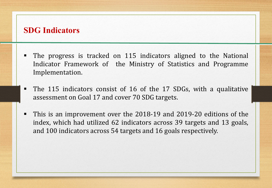#### **SDG Indicators**

- The progress is tracked on 115 indicators aligned to the National Indicator Framework of the Ministry of Statistics and Programme Implementation.
- The 115 indicators consist of 16 of the 17 SDGs, with a qualitative assessment on Goal 17 and cover 70 SDG targets.
- This is an improvement over the 2018-19 and 2019-20 editions of the index, which had utilized 62 indicators across 39 targets and 13 goals, and 100 indicators across 54 targets and 16 goals respectively.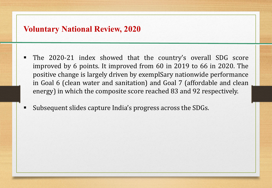#### **Voluntary National Review, 2020**

- The 2020-21 index showed that the country's overall SDG score improved by 6 points. It improved from 60 in 2019 to 66 in 2020. The positive change is largely driven by exemplSary nationwide performance in Goal 6 (clean water and sanitation) and Goal 7 (affordable and clean energy) in which the composite score reached 83 and 92 respectively.
- Subsequent slides capture India's progress across the SDGs.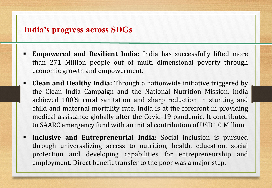## **India's progress across SDGs**

- **Empowered and Resilient India:** India has successfully lifted more than 271 Million people out of multi dimensional poverty through economic growth and empowerment.
- **Clean and Healthy India:** Through a nationwide initiative triggered by the Clean India Campaign and the National Nutrition Mission, India achieved 100% rural sanitation and sharp reduction in stunting and child and maternal mortality rate. India is at the forefront in providing medical assistance globally after the Covid-19 pandemic. It contributed to SAARC emergency fund with an initial contribution of USD 10 Million.
- **Inclusive and Entrepreneurial India:** Social inclusion is pursued through universalizing access to nutrition, health, education, social protection and developing capabilities for entrepreneurship and employment. Direct benefit transfer to the poor was a major step.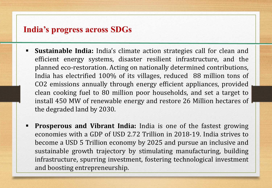## **India's progress across SDGs**

- **Sustainable India:** India's climate action strategies call for clean and efficient energy systems, disaster resilient infrastructure, and the planned eco-restoration. Acting on nationally determined contributions, India has electrified 100% of its villages, reduced 88 million tons of CO2 emissions annually through energy efficient appliances, provided clean cooking fuel to 80 million poor households, and set a target to install 450 MW of renewable energy and restore 26 Million hectares of the degraded land by 2030.
- **Prosperous and Vibrant India:** India is one of the fastest growing economies with a GDP of USD 2.72 Trillion in 2018-19. India strives to become a USD 5 Trillion economy by 2025 and pursue an inclusive and sustainable growth trajectory by stimulating manufacturing, building infrastructure, spurring investment, fostering technological investment and boosting entrepreneurship.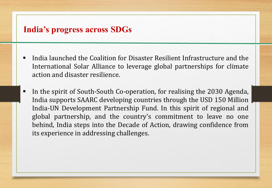## **India's progress across SDGs**

- India launched the Coalition for Disaster Resilient Infrastructure and the International Solar Alliance to leverage global partnerships for climate action and disaster resilience.
- In the spirit of South-South Co-operation, for realising the 2030 Agenda, India supports SAARC developing countries through the USD 150 Million India-UN Development Partnership Fund. In this spirit of regional and global partnership, and the country's commitment to leave no one behind, India steps into the Decade of Action, drawing confidence from its experience in addressing challenges.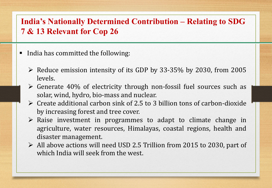## **India's Nationally Determined Contribution – Relating to SDG 7 & 13 Relevant for Cop 26**

- India has committed the following:
	- $\triangleright$  Reduce emission intensity of its GDP by 33-35% by 2030, from 2005 levels.
	- $\triangleright$  Generate 40% of electricity through non-fossil fuel sources such as solar, wind, hydro, bio-mass and nuclear.
	- $\triangleright$  Create additional carbon sink of 2.5 to 3 billion tons of carbon-dioxide by increasing forest and tree cover.
	- $\triangleright$  Raise investment in programmes to adapt to climate change in agriculture, water resources, Himalayas, coastal regions, health and disaster management.
	- All above actions will need USD 2.5 Trillion from 2015 to 2030, part of which India will seek from the west.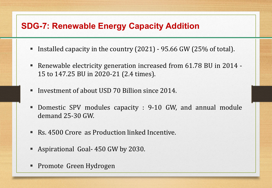## **SDG-7: Renewable Energy Capacity Addition**

- Installed capacity in the country (2021) 95.66 GW (25% of total).
- Renewable electricity generation increased from 61.78 BU in 2014 15 to 147.25 BU in 2020-21 (2.4 times).
- Investment of about USD 70 Billion since 2014.
- Domestic SPV modules capacity : 9-10 GW, and annual module demand 25-30 GW.
- Rs. 4500 Crore as Production linked Incentive.
- Aspirational Goal- 450 GW by 2030.
- Promote Green Hydrogen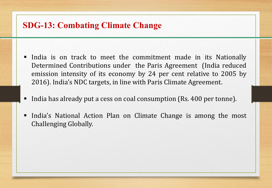## **SDG-13: Combating Climate Change**

- India is on track to meet the commitment made in its Nationally Determined Contributions under the Paris Agreement (India reduced emission intensity of its economy by 24 per cent relative to 2005 by 2016). India's NDC targets, in line with Paris Climate Agreement.
- India has already put a cess on coal consumption (Rs. 400 per tonne).
- India's National Action Plan on Climate Change is among the most Challenging Globally.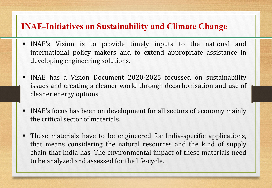## **INAE-Initiatives on Sustainability and Climate Change**

- INAE's Vision is to provide timely inputs to the national and international policy makers and to extend appropriate assistance in developing engineering solutions.
- INAE has a Vision Document 2020-2025 focussed on sustainability issues and creating a cleaner world through decarbonisation and use of cleaner energy options.
- INAE's focus has been on development for all sectors of economy mainly the critical sector of materials.
- These materials have to be engineered for India-specific applications, that means considering the natural resources and the kind of supply chain that India has. The environmental impact of these materials need to be analyzed and assessed for the life-cycle.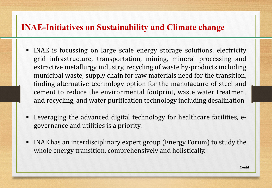## **INAE-Initiatives on Sustainability and Climate change**

- INAE is focussing on large scale energy storage solutions, electricity grid infrastructure, transportation, mining, mineral processing and extractive metallurgy industry, recycling of waste by-products including municipal waste, supply chain for raw materials need for the transition, finding alternative technology option for the manufacture of steel and cement to reduce the environmental footprint, waste water treatment and recycling, and water purification technology including desalination.
- Leveraging the advanced digital technology for healthcare facilities, egovernance and utilities is a priority.
- INAE has an interdisciplinary expert group (Energy Forum) to study the whole energy transition, comprehensively and holistically.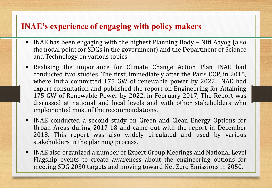## **INAE's experience of engaging with policy makers**

- INAE has been engaging with the highest Planning Body Niti Aayog (also the nodal point for SDGs in the government) and the Department of Science and Technology on various topics.
- Realising the importance for Climate Change Action Plan INAE had conducted two studies. The first, immediately after the Paris COP, in 2015, where India committed 175 GW of renewable power by 2022. INAE had expert consultation and published the report on Engineering for Attaining 175 GW of Renewable Power by 2022, in February 2017, The Report was discussed at national and local levels and with other stakeholders who implemented most of the recommendations.
- INAE conducted a second study on Green and Clean Energy Options for Urban Areas during 2017-18 and came out with the report in December 2018. This report was also widely circulated and used by various stakeholders in the planning process.
- INAE also organized a number of Expert Group Meetings and National Level Flagship events to create awareness about the engineering options for meeting SDG 2030 targets and moving toward Net Zero Emissions in 2050.